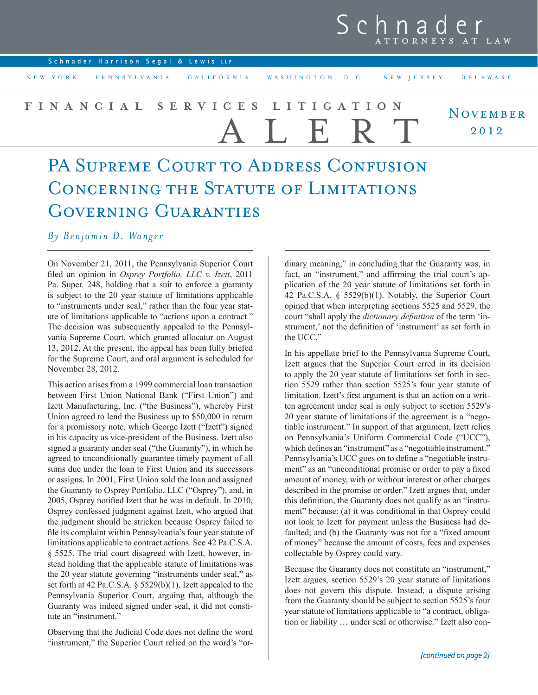## $S\overline{c}$ ATTORNEYS AT LAW

|  | Schnader Harrison Segal & Lewis LLP |
|--|-------------------------------------|
|  |                                     |

NEW YORK PENNSYLVANIA CALIFORNIA WASHINGTON, D.C. NEW JERSEY DELAWARE

## **NOVEMBER** 2012 **FINANCIAL SERVICES LITIGATION** ALERT

## PA SUPREME COURT TO ADDRESS CONFUSION CONCERNING THE STATUTE OF LIMITATIONS GOVERNING GUARANTIES

*By Benjamin D. Wanger*

On November 21, 2011, the Pennsylvania Superior Court filed an opinion in *Osprey Portfolio, LLC v. Izett*, 2011 Pa. Super. 248, holding that a suit to enforce a guaranty is subject to the 20 year statute of limitations applicable to "instruments under seal," rather than the four year statute of limitations applicable to "actions upon a contract." The decision was subsequently appealed to the Pennsylvania Supreme Court, which granted allocatur on August 13, 2012. At the present, the appeal has been fully briefed for the Supreme Court, and oral argument is scheduled for November 28, 2012.

This action arises from a 1999 commercial loan transaction between First Union National Bank ("First Union") and Izett Manufacturing, Inc. ("the Business"), whereby First Union agreed to lend the Business up to \$50,000 in return for a promissory note, which George Izett ("Izett") signed in his capacity as vice-president of the Business. Izett also signed a guaranty under seal ("the Guaranty"), in which he agreed to unconditionally guarantee timely payment of all sums due under the loan to First Union and its successors or assigns. In 2001, First Union sold the loan and assigned the Guaranty to Osprey Portfolio, LLC ("Osprey"), and, in 2005, Osprey notified Izett that he was in default. In 2010, Osprey confessed judgment against Izett, who argued that the judgment should be stricken because Osprey failed to file its complaint within Pennsylvania's four year statute of limitations applicable to contract actions. See 42 Pa.C.S.A. § 5525. The trial court disagreed with Izett, however, instead holding that the applicable statute of limitations was the 20 year statute governing "instruments under seal," as set forth at 42 Pa.C.S.A. § 5529(b)(1). Izett appealed to the Pennsylvania Superior Court, arguing that, although the Guaranty was indeed signed under seal, it did not constitute an "instrument."

Observing that the Judicial Code does not define the word "instrument," the Superior Court relied on the word's "ordinary meaning," in concluding that the Guaranty was, in fact, an "instrument," and affirming the trial court's application of the 20 year statute of limitations set forth in 42 Pa.C.S.A. § 5529(b)(1). Notably, the Superior Court opined that when interpreting sections 5525 and 5529, the court "shall apply the *dictionary definition* of the term 'instrument,' not the definition of 'instrument' as set forth in the UCC."

In his appellate brief to the Pennsylvania Supreme Court, Izett argues that the Superior Court erred in its decision to apply the 20 year statute of limitations set forth in section 5529 rather than section 5525's four year statute of limitation. Izett's first argument is that an action on a written agreement under seal is only subject to section 5529's 20 year statute of limitations if the agreement is a "negotiable instrument." In support of that argument, Izett relies on Pennsylvania's Uniform Commercial Code ("UCC"), which defines an "instrument" as a "negotiable instrument." Pennsylvania's UCC goes on to define a "negotiable instrument" as an "unconditional promise or order to pay a fixed amount of money, with or without interest or other charges described in the promise or order." Izett argues that, under this definition, the Guaranty does not qualify as an "instrument" because: (a) it was conditional in that Osprey could not look to Izett for payment unless the Business had defaulted; and (b) the Guaranty was not for a "fixed amount of money" because the amount of costs, fees and expenses collectable by Osprey could vary.

Because the Guaranty does not constitute an "instrument," Izett argues, section 5529's 20 year statute of limitations does not govern this dispute. Instead, a dispute arising from the Guaranty should be subject to section 5525's four year statute of limitations applicable to "a contract, obligation or liability … under seal or otherwise." Izett also con-